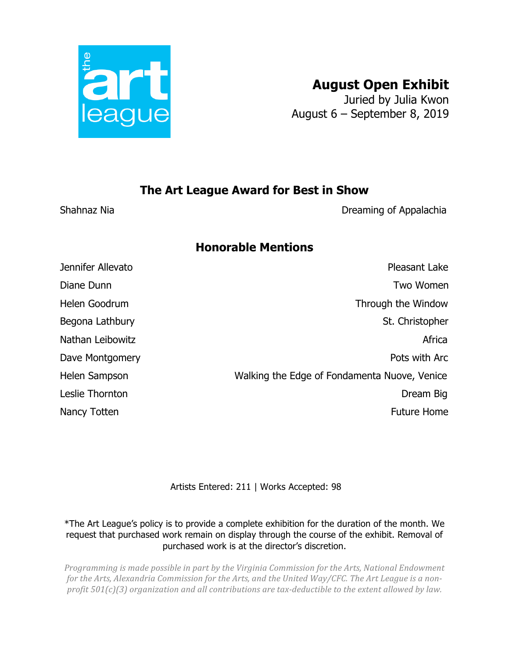

## **August Open Exhibit**

Juried by Julia Kwon August 6 – September 8, 2019

## **The Art League Award for Best in Show**

Shahnaz Nia **Dreaming of Appalachia** 

## **Honorable Mentions**

Jennifer Allevato Pleasant Lake Diane Dunn Two Women Helen Goodrum Through the Window Begona Lathbury St. Christopher Nathan Leibowitz **Africa** Africa Dave Montgomery **Pots** with Arc Helen Sampson Walking the Edge of Fondamenta Nuove, Venice Leslie Thornton Dream Big Nancy Totten Future Home

Artists Entered: 211 | Works Accepted: 98

\*The Art League's policy is to provide a complete exhibition for the duration of the month. We request that purchased work remain on display through the course of the exhibit. Removal of purchased work is at the director's discretion.

*Programming is made possible in part by the Virginia Commission for the Arts, National Endowment for* the Arts, Alexandria Commission for the Arts, and the United Way/CFC. The Art League is a non*profit 501(c)(3) organization and all contributions are tax-deductible to the extent allowed by law.*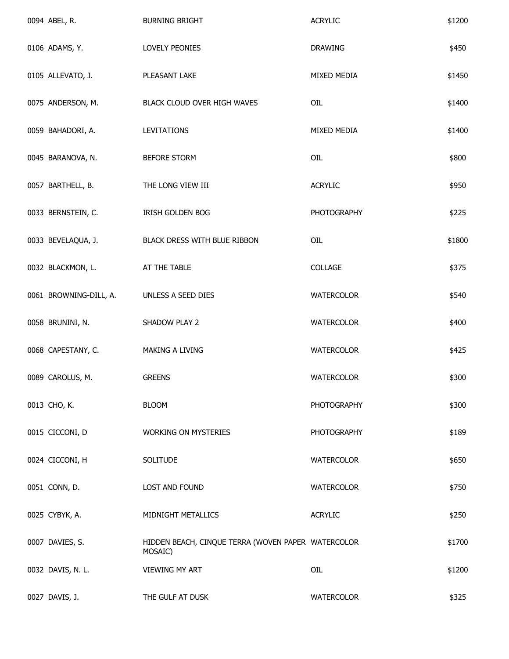| 0094 ABEL, R.          | <b>BURNING BRIGHT</b>                                         | <b>ACRYLIC</b>     | \$1200 |
|------------------------|---------------------------------------------------------------|--------------------|--------|
| 0106 ADAMS, Y.         | LOVELY PEONIES                                                | DRAWING            | \$450  |
| 0105 ALLEVATO, J.      | PLEASANT LAKE                                                 | MIXED MEDIA        | \$1450 |
| 0075 ANDERSON, M.      | BLACK CLOUD OVER HIGH WAVES                                   | OIL                | \$1400 |
| 0059 BAHADORI, A.      | <b>LEVITATIONS</b>                                            | MIXED MEDIA        | \$1400 |
| 0045 BARANOVA, N.      | BEFORE STORM                                                  | OIL                | \$800  |
| 0057 BARTHELL, B.      | THE LONG VIEW III                                             | <b>ACRYLIC</b>     | \$950  |
| 0033 BERNSTEIN, C.     | IRISH GOLDEN BOG                                              | <b>PHOTOGRAPHY</b> | \$225  |
| 0033 BEVELAQUA, J.     | BLACK DRESS WITH BLUE RIBBON                                  | OIL                | \$1800 |
| 0032 BLACKMON, L.      | AT THE TABLE                                                  | COLLAGE            | \$375  |
| 0061 BROWNING-DILL, A. | UNLESS A SEED DIES                                            | <b>WATERCOLOR</b>  | \$540  |
| 0058 BRUNINI, N.       | SHADOW PLAY 2                                                 | <b>WATERCOLOR</b>  | \$400  |
| 0068 CAPESTANY, C.     | MAKING A LIVING                                               | <b>WATERCOLOR</b>  | \$425  |
| 0089 CAROLUS, M.       | <b>GREENS</b>                                                 | <b>WATERCOLOR</b>  | \$300  |
| 0013 CHO, K.           | <b>BLOOM</b>                                                  | <b>PHOTOGRAPHY</b> | \$300  |
| 0015 CICCONI, D        | <b>WORKING ON MYSTERIES</b>                                   | <b>PHOTOGRAPHY</b> | \$189  |
| 0024 CICCONI, H        | <b>SOLITUDE</b>                                               | <b>WATERCOLOR</b>  | \$650  |
| 0051 CONN, D.          | LOST AND FOUND                                                | <b>WATERCOLOR</b>  | \$750  |
| 0025 CYBYK, A.         | MIDNIGHT METALLICS                                            | <b>ACRYLIC</b>     | \$250  |
| 0007 DAVIES, S.        | HIDDEN BEACH, CINQUE TERRA (WOVEN PAPER WATERCOLOR<br>MOSAIC) |                    | \$1700 |
| 0032 DAVIS, N. L.      | <b>VIEWING MY ART</b>                                         | OIL                | \$1200 |
| 0027 DAVIS, J.         | THE GULF AT DUSK                                              | <b>WATERCOLOR</b>  | \$325  |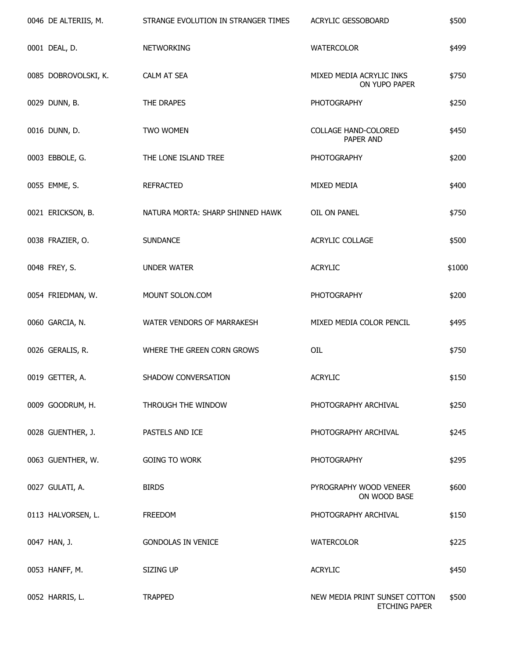| 0046 DE ALTERIIS, M. | STRANGE EVOLUTION IN STRANGER TIMES | ACRYLIC GESSOBOARD                                    | \$500  |
|----------------------|-------------------------------------|-------------------------------------------------------|--------|
| 0001 DEAL, D.        | <b>NETWORKING</b>                   | WATERCOLOR                                            | \$499  |
| 0085 DOBROVOLSKI, K. | CALM AT SEA                         | MIXED MEDIA ACRYLIC INKS<br>ON YUPO PAPER             | \$750  |
| 0029 DUNN, B.        | THE DRAPES                          | <b>PHOTOGRAPHY</b>                                    | \$250  |
| 0016 DUNN, D.        | TWO WOMEN                           | COLLAGE HAND-COLORED<br>PAPER AND                     | \$450  |
| 0003 EBBOLE, G.      | THE LONE ISLAND TREE                | <b>PHOTOGRAPHY</b>                                    | \$200  |
| 0055 EMME, S.        | <b>REFRACTED</b>                    | MIXED MEDIA                                           | \$400  |
| 0021 ERICKSON, B.    | NATURA MORTA: SHARP SHINNED HAWK    | OIL ON PANEL                                          | \$750  |
| 0038 FRAZIER, O.     | <b>SUNDANCE</b>                     | ACRYLIC COLLAGE                                       | \$500  |
| 0048 FREY, S.        | <b>UNDER WATER</b>                  | <b>ACRYLIC</b>                                        | \$1000 |
| 0054 FRIEDMAN, W.    | MOUNT SOLON.COM                     | <b>PHOTOGRAPHY</b>                                    | \$200  |
| 0060 GARCIA, N.      | WATER VENDORS OF MARRAKESH          | MIXED MEDIA COLOR PENCIL                              | \$495  |
| 0026 GERALIS, R.     | WHERE THE GREEN CORN GROWS          | OIL                                                   | \$750  |
| 0019 GETTER, A.      | SHADOW CONVERSATION                 | <b>ACRYLIC</b>                                        | \$150  |
| 0009 GOODRUM, H.     | THROUGH THE WINDOW                  | PHOTOGRAPHY ARCHIVAL                                  | \$250  |
| 0028 GUENTHER, J.    | PASTELS AND ICE                     | PHOTOGRAPHY ARCHIVAL                                  | \$245  |
| 0063 GUENTHER, W.    | <b>GOING TO WORK</b>                | <b>PHOTOGRAPHY</b>                                    | \$295  |
| 0027 GULATI, A.      | <b>BIRDS</b>                        | PYROGRAPHY WOOD VENEER<br>ON WOOD BASE                | \$600  |
| 0113 HALVORSEN, L.   | <b>FREEDOM</b>                      | PHOTOGRAPHY ARCHIVAL                                  | \$150  |
| 0047 HAN, J.         | <b>GONDOLAS IN VENICE</b>           | <b>WATERCOLOR</b>                                     | \$225  |
| 0053 HANFF, M.       | SIZING UP                           | <b>ACRYLIC</b>                                        | \$450  |
| 0052 HARRIS, L.      | <b>TRAPPED</b>                      | NEW MEDIA PRINT SUNSET COTTON<br><b>ETCHING PAPER</b> | \$500  |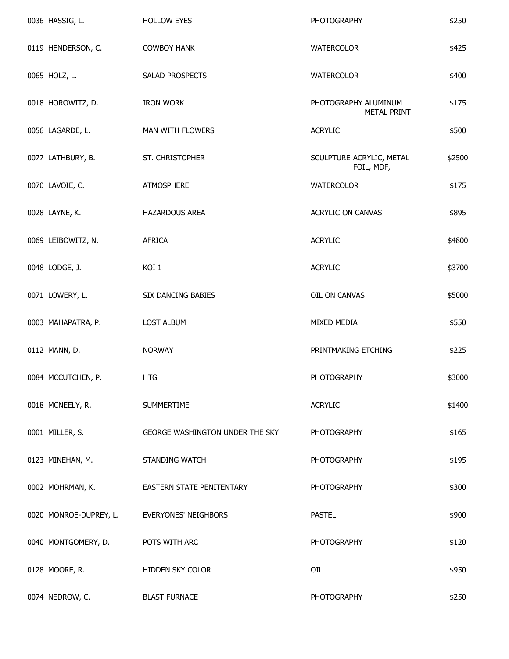| 0036 HASSIG, L.        | <b>HOLLOW EYES</b>              | <b>PHOTOGRAPHY</b>                         | \$250  |
|------------------------|---------------------------------|--------------------------------------------|--------|
| 0119 HENDERSON, C.     | <b>COWBOY HANK</b>              | <b>WATERCOLOR</b>                          | \$425  |
| 0065 HOLZ, L.          | SALAD PROSPECTS                 | <b>WATERCOLOR</b>                          | \$400  |
| 0018 HOROWITZ, D.      | <b>IRON WORK</b>                | PHOTOGRAPHY ALUMINUM<br><b>METAL PRINT</b> | \$175  |
| 0056 LAGARDE, L.       | MAN WITH FLOWERS                | <b>ACRYLIC</b>                             | \$500  |
| 0077 LATHBURY, B.      | ST. CHRISTOPHER                 | SCULPTURE ACRYLIC, METAL<br>FOIL, MDF,     | \$2500 |
| 0070 LAVOIE, C.        | <b>ATMOSPHERE</b>               | <b>WATERCOLOR</b>                          | \$175  |
| 0028 LAYNE, K.         | HAZARDOUS AREA                  | ACRYLIC ON CANVAS                          | \$895  |
| 0069 LEIBOWITZ, N.     | <b>AFRICA</b>                   | <b>ACRYLIC</b>                             | \$4800 |
| 0048 LODGE, J.         | KOI 1                           | <b>ACRYLIC</b>                             | \$3700 |
| 0071 LOWERY, L.        | SIX DANCING BABIES              | OIL ON CANVAS                              | \$5000 |
| 0003 MAHAPATRA, P.     | <b>LOST ALBUM</b>               | MIXED MEDIA                                | \$550  |
| 0112 MANN, D.          | <b>NORWAY</b>                   | PRINTMAKING ETCHING                        | \$225  |
| 0084 MCCUTCHEN, P.     | <b>HTG</b>                      | <b>PHOTOGRAPHY</b>                         | \$3000 |
| 0018 MCNEELY, R.       | <b>SUMMERTIME</b>               | <b>ACRYLIC</b>                             | \$1400 |
| 0001 MILLER, S.        | GEORGE WASHINGTON UNDER THE SKY | <b>PHOTOGRAPHY</b>                         | \$165  |
| 0123 MINEHAN, M.       | <b>STANDING WATCH</b>           | <b>PHOTOGRAPHY</b>                         | \$195  |
| 0002 MOHRMAN, K.       | EASTERN STATE PENITENTARY       | <b>PHOTOGRAPHY</b>                         | \$300  |
| 0020 MONROE-DUPREY, L. | <b>EVERYONES' NEIGHBORS</b>     | <b>PASTEL</b>                              | \$900  |
| 0040 MONTGOMERY, D.    | POTS WITH ARC                   | <b>PHOTOGRAPHY</b>                         | \$120  |
| 0128 MOORE, R.         | HIDDEN SKY COLOR                | OIL                                        | \$950  |
| 0074 NEDROW, C.        | <b>BLAST FURNACE</b>            | <b>PHOTOGRAPHY</b>                         | \$250  |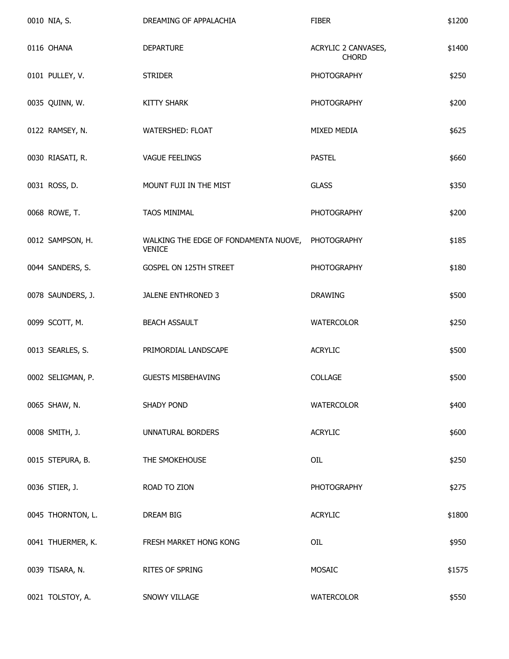| 0010 NIA, S.      | DREAMING OF APPALACHIA                                             | <b>FIBER</b>                        | \$1200 |
|-------------------|--------------------------------------------------------------------|-------------------------------------|--------|
| 0116 OHANA        | <b>DEPARTURE</b>                                                   | ACRYLIC 2 CANVASES,<br><b>CHORD</b> | \$1400 |
| 0101 PULLEY, V.   | <b>STRIDER</b>                                                     | <b>PHOTOGRAPHY</b>                  | \$250  |
| 0035 QUINN, W.    | <b>KITTY SHARK</b>                                                 | <b>PHOTOGRAPHY</b>                  | \$200  |
| 0122 RAMSEY, N.   | WATERSHED: FLOAT                                                   | MIXED MEDIA                         | \$625  |
| 0030 RIASATI, R.  | <b>VAGUE FEELINGS</b>                                              | <b>PASTEL</b>                       | \$660  |
| 0031 ROSS, D.     | MOUNT FUJI IN THE MIST                                             | <b>GLASS</b>                        | \$350  |
| 0068 ROWE, T.     | <b>TAOS MINIMAL</b>                                                | <b>PHOTOGRAPHY</b>                  | \$200  |
| 0012 SAMPSON, H.  | WALKING THE EDGE OF FONDAMENTA NUOVE, PHOTOGRAPHY<br><b>VENICE</b> |                                     | \$185  |
| 0044 SANDERS, S.  | GOSPEL ON 125TH STREET                                             | <b>PHOTOGRAPHY</b>                  | \$180  |
| 0078 SAUNDERS, J. | JALENE ENTHRONED 3                                                 | <b>DRAWING</b>                      | \$500  |
| 0099 SCOTT, M.    | <b>BEACH ASSAULT</b>                                               | <b>WATERCOLOR</b>                   | \$250  |
| 0013 SEARLES, S.  | PRIMORDIAL LANDSCAPE                                               | <b>ACRYLIC</b>                      | \$500  |
| 0002 SELIGMAN, P. | <b>GUESTS MISBEHAVING</b>                                          | <b>COLLAGE</b>                      | \$500  |
| 0065 SHAW, N.     | <b>SHADY POND</b>                                                  | <b>WATERCOLOR</b>                   | \$400  |
| 0008 SMITH, J.    | <b>UNNATURAL BORDERS</b>                                           | <b>ACRYLIC</b>                      | \$600  |
| 0015 STEPURA, B.  | THE SMOKEHOUSE                                                     | OIL                                 | \$250  |
| 0036 STIER, J.    | ROAD TO ZION                                                       | <b>PHOTOGRAPHY</b>                  | \$275  |
| 0045 THORNTON, L. | DREAM BIG                                                          | <b>ACRYLIC</b>                      | \$1800 |
| 0041 THUERMER, K. | FRESH MARKET HONG KONG                                             | OIL                                 | \$950  |
| 0039 TISARA, N.   | RITES OF SPRING                                                    | MOSAIC                              | \$1575 |
| 0021 TOLSTOY, A.  | SNOWY VILLAGE                                                      | <b>WATERCOLOR</b>                   | \$550  |